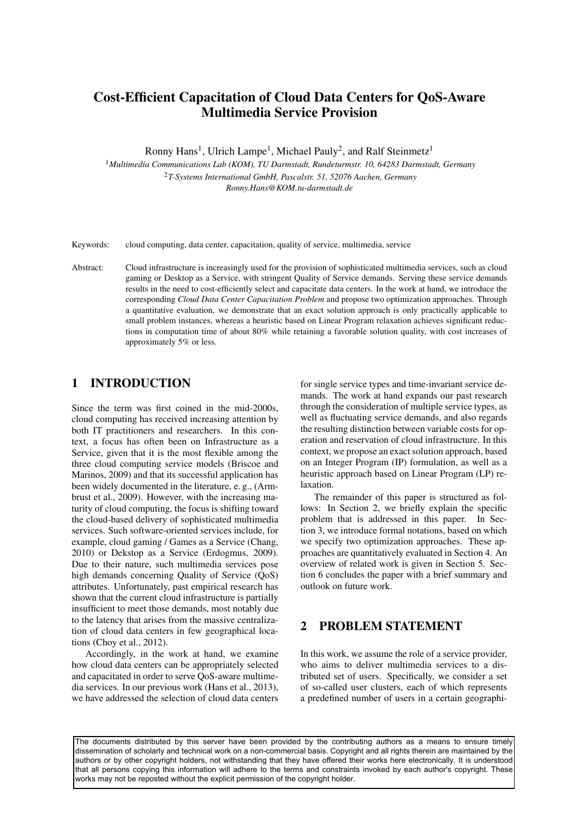# Cost-Efficient Capacitation of Cloud Data Centers for QoS-Aware Multimedia Service Provision

Ronny Hans<sup>1</sup>, Ulrich Lampe<sup>1</sup>, Michael Pauly<sup>2</sup>, and Ralf Steinmetz<sup>1</sup>

<sup>1</sup>*Multimedia Communications Lab (KOM), TU Darmstadt, Rundeturmstr. 10, 64283 Darmstadt, Germany* <sup>2</sup>*T-Systems International GmbH, Pascalstr. 51, 52076 Aachen, Germany Ronny.Hans@KOM.tu-darmstadt.de*

Keywords: cloud computing, data center, capacitation, quality of service, multimedia, service

Abstract: Cloud infrastructure is increasingly used for the provision of sophisticated multimedia services, such as cloud gaming or Desktop as a Service, with stringent Quality of Service demands. Serving these service demands results in the need to cost-efficiently select and capacitate data centers. In the work at hand, we introduce the corresponding *Cloud Data Center Capacitation Problem* and propose two optimization approaches. Through a quantitative evaluation, we demonstrate that an exact solution approach is only practically applicable to small problem instances, whereas a heuristic based on Linear Program relaxation achieves significant reductions in computation time of about 80% while retaining a favorable solution quality, with cost increases of approximately 5% or less.

# 1 INTRODUCTION

Since the term was first coined in the mid-2000s, cloud computing has received increasing attention by both IT practitioners and researchers. In this context, a focus has often been on Infrastructure as a Service, given that it is the most flexible among the three cloud computing service models (Briscoe and Marinos, 2009) and that its successful application has been widely documented in the literature, e. g., (Armbrust et al., 2009). However, with the increasing maturity of cloud computing, the focus is shifting toward the cloud-based delivery of sophisticated multimedia services. Such software-oriented services include, for example, cloud gaming / Games as a Service (Chang, 2010) or Dekstop as a Service (Erdogmus, 2009). Due to their nature, such multimedia services pose high demands concerning Quality of Service (QoS) attributes. Unfortunately, past empirical research has shown that the current cloud infrastructure is partially insufficient to meet those demands, most notably due to the latency that arises from the massive centralization of cloud data centers in few geographical locations (Choy et al., 2012).

Accordingly, in the work at hand, we examine how cloud data centers can be appropriately selected and capacitated in order to serve QoS-aware multimedia services. In our previous work (Hans et al., 2013), we have addressed the selection of cloud data centers

for single service types and time-invariant service demands. The work at hand expands our past research through the consideration of multiple service types, as well as fluctuating service demands, and also regards the resulting distinction between variable costs for operation and reservation of cloud infrastructure. In this context, we propose an exact solution approach, based on an Integer Program (IP) formulation, as well as a heuristic approach based on Linear Program (LP) relaxation.

The remainder of this paper is structured as follows: In Section 2, we briefly explain the specific problem that is addressed in this paper. In Section 3, we introduce formal notations, based on which we specify two optimization approaches. These approaches are quantitatively evaluated in Section 4. An overview of related work is given in Section 5. Section 6 concludes the paper with a brief summary and outlook on future work.

# 2 PROBLEM STATEMENT

In this work, we assume the role of a service provider, who aims to deliver multimedia services to a distributed set of users. Specifically, we consider a set of so-called user clusters, each of which represents a predefined number of users in a certain geographi-

The documents distributed by this server have been provided by the contributing authors as a means to ensure timely dissemination of scholarly and technical work on a non-commercial basis. Copyright and all rights therein are maintained by the authors or by other copyright holders, not withstanding that they have offered their works here electronically. It is understood that all persons copying this information will adhere to the terms and constraints invoked by each author's copyright. These works may not be reposted without the explicit permission of the copyright holder.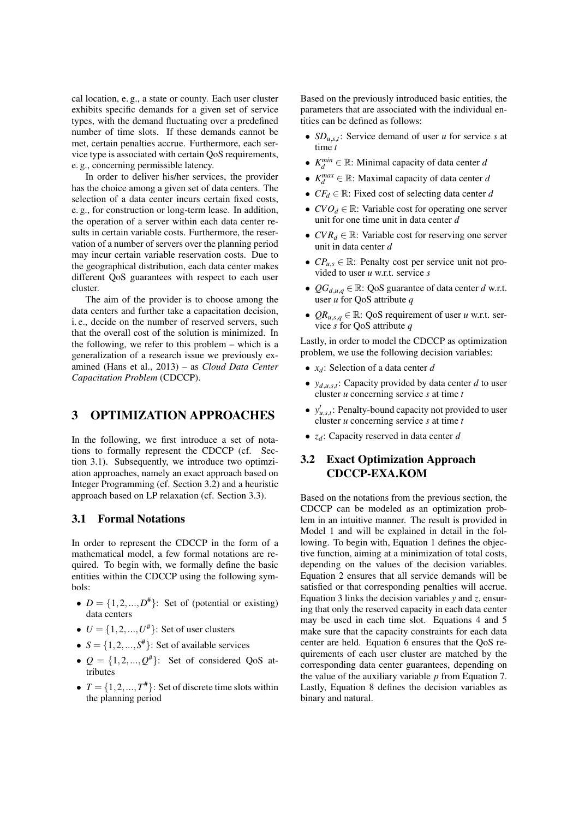cal location, e. g., a state or county. Each user cluster exhibits specific demands for a given set of service types, with the demand fluctuating over a predefined number of time slots. If these demands cannot be met, certain penalties accrue. Furthermore, each service type is associated with certain QoS requirements, e. g., concerning permissible latency.

In order to deliver his/her services, the provider has the choice among a given set of data centers. The selection of a data center incurs certain fixed costs, e. g., for construction or long-term lease. In addition, the operation of a server within each data center results in certain variable costs. Furthermore, the reservation of a number of servers over the planning period may incur certain variable reservation costs. Due to the geographical distribution, each data center makes different QoS guarantees with respect to each user cluster.

The aim of the provider is to choose among the data centers and further take a capacitation decision, i. e., decide on the number of reserved servers, such that the overall cost of the solution is minimized. In the following, we refer to this problem – which is a generalization of a research issue we previously examined (Hans et al., 2013) – as *Cloud Data Center Capacitation Problem* (CDCCP).

# 3 OPTIMIZATION APPROACHES

In the following, we first introduce a set of notations to formally represent the CDCCP (cf. Section 3.1). Subsequently, we introduce two optimziation approaches, namely an exact approach based on Integer Programming (cf. Section 3.2) and a heuristic approach based on LP relaxation (cf. Section 3.3).

#### 3.1 Formal Notations

In order to represent the CDCCP in the form of a mathematical model, a few formal notations are required. To begin with, we formally define the basic entities within the CDCCP using the following symbols:

- $D = \{1, 2, ..., D^* \}$ : Set of (potential or existing) data centers
- $U = \{1, 2, ..., U^*\}$ : Set of user clusters
- $S = \{1, 2, ..., S^* \}$ : Set of available services
- $Q = \{1, 2, ..., Q^* \}$ : Set of considered QoS attributes
- $T = \{1, 2, ..., T^*\}$ : Set of discrete time slots within the planning period

Based on the previously introduced basic entities, the parameters that are associated with the individual entities can be defined as follows:

- *SD<sub>u,s,t</sub>*: Service demand of user *u* for service *s* at time *t*
- $K_d^{min} \in \mathbb{R}$ : Minimal capacity of data center *d*
- $K_d^{max} \in \mathbb{R}$ : Maximal capacity of data center *d*
- *CF<sup>d</sup>* ∈ R: Fixed cost of selecting data center *d*
- $CVO_d \in \mathbb{R}$ : Variable cost for operating one server unit for one time unit in data center *d*
- $CVR_d \in \mathbb{R}$ : Variable cost for reserving one server unit in data center *d*
- $CP_{u,s} \in \mathbb{R}$ : Penalty cost per service unit not provided to user *u* w.r.t. service *s*
- $QG_{d,u,q} \in \mathbb{R}$ : QoS guarantee of data center *d* w.r.t. user *u* for QoS attribute *q*
- $QR_{u,s,q} \in \mathbb{R}$ : QoS requirement of user *u* w.r.t. service *s* for QoS attribute *q*

Lastly, in order to model the CDCCP as optimization problem, we use the following decision variables:

- *xd*: Selection of a data center *d*
- $y_{d,u,s,t}$ : Capacity provided by data center *d* to user cluster *u* concerning service *s* at time *t*
- $y'_{u,s,t}$ : Penalty-bound capacity not provided to user cluster *u* concerning service *s* at time *t*
- *zd*: Capacity reserved in data center *d*

## 3.2 Exact Optimization Approach CDCCP-EXA.KOM

Based on the notations from the previous section, the CDCCP can be modeled as an optimization problem in an intuitive manner. The result is provided in Model 1 and will be explained in detail in the following. To begin with, Equation 1 defines the objective function, aiming at a minimization of total costs, depending on the values of the decision variables. Equation 2 ensures that all service demands will be satisfied or that corresponding penalties will accrue. Equation 3 links the decision variables *y* and *z*, ensuring that only the reserved capacity in each data center may be used in each time slot. Equations 4 and 5 make sure that the capacity constraints for each data center are held. Equation 6 ensures that the QoS requirements of each user cluster are matched by the corresponding data center guarantees, depending on the value of the auxiliary variable *p* from Equation 7. Lastly, Equation 8 defines the decision variables as binary and natural.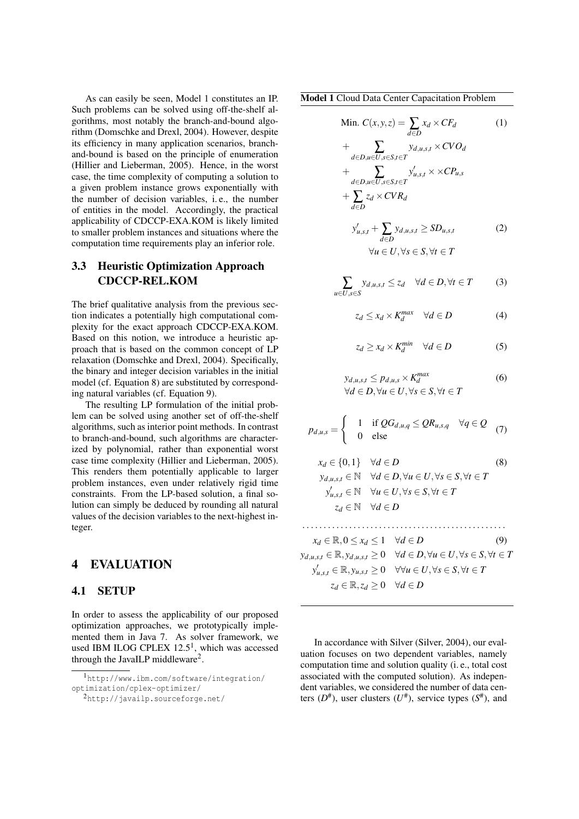As can easily be seen, Model 1 constitutes an IP. Such problems can be solved using off-the-shelf algorithms, most notably the branch-and-bound algorithm (Domschke and Drexl, 2004). However, despite its efficiency in many application scenarios, branchand-bound is based on the principle of enumeration (Hillier and Lieberman, 2005). Hence, in the worst case, the time complexity of computing a solution to a given problem instance grows exponentially with the number of decision variables, i. e., the number of entities in the model. Accordingly, the practical applicability of CDCCP-EXA.KOM is likely limited to smaller problem instances and situations where the computation time requirements play an inferior role.

### 3.3 Heuristic Optimization Approach CDCCP-REL.KOM

The brief qualitative analysis from the previous section indicates a potentially high computational complexity for the exact approach CDCCP-EXA.KOM. Based on this notion, we introduce a heuristic approach that is based on the common concept of LP relaxation (Domschke and Drexl, 2004). Specifically, the binary and integer decision variables in the initial model (cf. Equation 8) are substituted by corresponding natural variables (cf. Equation 9).

The resulting LP formulation of the initial problem can be solved using another set of off-the-shelf algorithms, such as interior point methods. In contrast to branch-and-bound, such algorithms are characterized by polynomial, rather than exponential worst case time complexity (Hillier and Lieberman, 2005). This renders them potentially applicable to larger problem instances, even under relatively rigid time constraints. From the LP-based solution, a final solution can simply be deduced by rounding all natural values of the decision variables to the next-highest integer.

### 4 EVALUATION

#### 4.1 SETUP

In order to assess the applicability of our proposed optimization approaches, we prototypically implemented them in Java 7. As solver framework, we used IBM ILOG CPLEX  $12.5<sup>1</sup>$ , which was accessed through the JavaILP middleware<sup>2</sup>.

Model 1 Cloud Data Center Capacitation Problem

Min. 
$$
C(x, y, z) = \sum_{d \in D} x_d \times CF_d
$$
 (1)  
\n
$$
+ \sum_{d \in D, u \in U, s \in S, t \in T} y_{d, u, s, t} \times CVO_d
$$
\n
$$
+ \sum_{d \in D, u \in U, s \in S, t \in T} y'_{u, s, t} \times \times CP_{u, s}
$$
\n
$$
+ \sum_{d \in D} z_d \times CVR_d
$$
\n
$$
y'_{u, s, t} + \sum_{d \in D} y_{d, u, s, t} \ge SD_{u, s, t}
$$
 (2)  
\n
$$
\forall u \in U, \forall s \in S, \forall t \in T
$$

$$
\sum_{U,s\in S} y_{d,u,s,t} \le z_d \quad \forall d \in D, \forall t \in T \tag{3}
$$

 $u \in$ <sup>S</sup>

$$
z_d \le x_d \times K_d^{max} \quad \forall d \in D \tag{4}
$$

$$
z_d \ge x_d \times K_d^{\min} \quad \forall d \in D \tag{5}
$$

$$
y_{d,u,s,t} \le p_{d,u,s} \times K_d^{max}
$$
  
\n
$$
\forall d \in D, \forall u \in U, \forall s \in S, \forall t \in T
$$
\n(6)

$$
p_{d,u,s} = \begin{cases} 1 & \text{if } \mathcal{Q}G_{d,u,q} \leq \mathcal{Q}R_{u,s,q} \quad \forall q \in \mathcal{Q} \\ 0 & \text{else} \end{cases} \tag{7}
$$

$$
x_d \in \{0, 1\} \quad \forall d \in D
$$
\n
$$
y_{d,u,s,t} \in \mathbb{N} \quad \forall d \in D, \forall u \in U, \forall s \in S, \forall t \in T
$$
\n
$$
y'_{u,s,t} \in \mathbb{N} \quad \forall u \in U, \forall s \in S, \forall t \in T
$$
\n
$$
z_d \in \mathbb{N} \quad \forall d \in D
$$
\n(8)

$$
x_d \in \mathbb{R}, 0 \le x_d \le 1 \quad \forall d \in D \tag{9}
$$
  
\n
$$
y_{d,u,s,t} \in \mathbb{R}, y_{d,u,s,t} \ge 0 \quad \forall d \in D, \forall u \in U, \forall s \in S, \forall t \in T
$$
  
\n
$$
y'_{u,s,t} \in \mathbb{R}, y_{u,s,t} \ge 0 \quad \forall \forall u \in U, \forall s \in S, \forall t \in T
$$
  
\n
$$
z_d \in \mathbb{R}, z_d \ge 0 \quad \forall d \in D
$$

In accordance with Silver (Silver, 2004), our evaluation focuses on two dependent variables, namely computation time and solution quality (i. e., total cost associated with the computed solution). As independent variables, we considered the number of data centers  $(D^{\#})$ , user clusters  $(U^{\#})$ , service types  $(S^{\#})$ , and

<sup>1</sup>http://www.ibm.com/software/integration/ optimization/cplex-optimizer/

<sup>2</sup>http://javailp.sourceforge.net/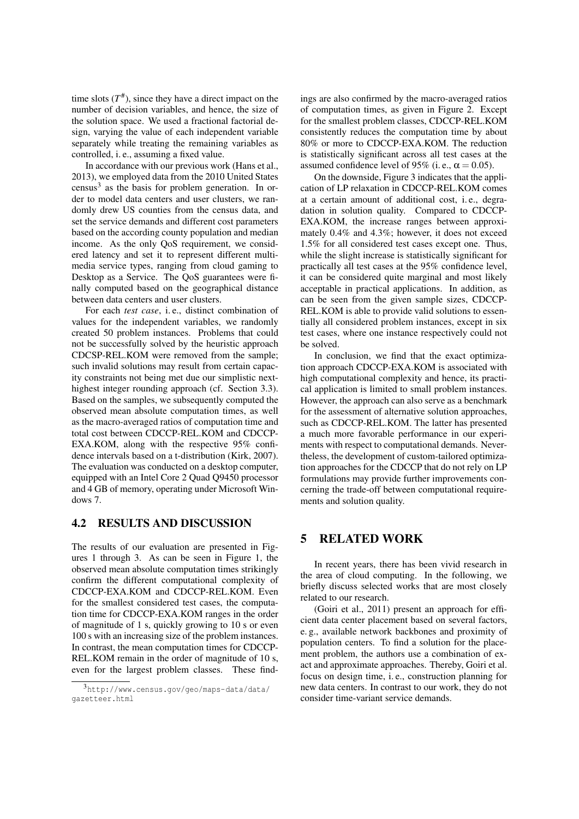time slots  $(T^{\#})$ , since they have a direct impact on the number of decision variables, and hence, the size of the solution space. We used a fractional factorial design, varying the value of each independent variable separately while treating the remaining variables as controlled, i. e., assuming a fixed value.

In accordance with our previous work (Hans et al., 2013), we employed data from the 2010 United States census<sup>3</sup> as the basis for problem generation. In order to model data centers and user clusters, we randomly drew US counties from the census data, and set the service demands and different cost parameters based on the according county population and median income. As the only QoS requirement, we considered latency and set it to represent different multimedia service types, ranging from cloud gaming to Desktop as a Service. The QoS guarantees were finally computed based on the geographical distance between data centers and user clusters.

For each *test case*, i. e., distinct combination of values for the independent variables, we randomly created 50 problem instances. Problems that could not be successfully solved by the heuristic approach CDCSP-REL.KOM were removed from the sample; such invalid solutions may result from certain capacity constraints not being met due our simplistic nexthighest integer rounding approach (cf. Section 3.3). Based on the samples, we subsequently computed the observed mean absolute computation times, as well as the macro-averaged ratios of computation time and total cost between CDCCP-REL.KOM and CDCCP-EXA.KOM, along with the respective 95% confidence intervals based on a t-distribution (Kirk, 2007). The evaluation was conducted on a desktop computer, equipped with an Intel Core 2 Quad Q9450 processor and 4 GB of memory, operating under Microsoft Windows 7.

#### 4.2 RESULTS AND DISCUSSION

The results of our evaluation are presented in Figures 1 through 3. As can be seen in Figure 1, the observed mean absolute computation times strikingly confirm the different computational complexity of CDCCP-EXA.KOM and CDCCP-REL.KOM. Even for the smallest considered test cases, the computation time for CDCCP-EXA.KOM ranges in the order of magnitude of 1 s, quickly growing to 10 s or even 100 s with an increasing size of the problem instances. In contrast, the mean computation times for CDCCP-REL.KOM remain in the order of magnitude of 10 s, even for the largest problem classes. These findings are also confirmed by the macro-averaged ratios of computation times, as given in Figure 2. Except for the smallest problem classes, CDCCP-REL.KOM consistently reduces the computation time by about 80% or more to CDCCP-EXA.KOM. The reduction is statistically significant across all test cases at the assumed confidence level of 95% (i.e.,  $\alpha = 0.05$ ).

On the downside, Figure 3 indicates that the application of LP relaxation in CDCCP-REL.KOM comes at a certain amount of additional cost, i. e., degradation in solution quality. Compared to CDCCP-EXA.KOM, the increase ranges between approximately 0.4% and 4.3%; however, it does not exceed 1.5% for all considered test cases except one. Thus, while the slight increase is statistically significant for practically all test cases at the 95% confidence level, it can be considered quite marginal and most likely acceptable in practical applications. In addition, as can be seen from the given sample sizes, CDCCP-REL.KOM is able to provide valid solutions to essentially all considered problem instances, except in six test cases, where one instance respectively could not be solved.

In conclusion, we find that the exact optimization approach CDCCP-EXA.KOM is associated with high computational complexity and hence, its practical application is limited to small problem instances. However, the approach can also serve as a benchmark for the assessment of alternative solution approaches, such as CDCCP-REL.KOM. The latter has presented a much more favorable performance in our experiments with respect to computational demands. Nevertheless, the development of custom-tailored optimization approaches for the CDCCP that do not rely on LP formulations may provide further improvements concerning the trade-off between computational requirements and solution quality.

# 5 RELATED WORK

In recent years, there has been vivid research in the area of cloud computing. In the following, we briefly discuss selected works that are most closely related to our research.

(Goiri et al., 2011) present an approach for efficient data center placement based on several factors, e. g., available network backbones and proximity of population centers. To find a solution for the placement problem, the authors use a combination of exact and approximate approaches. Thereby, Goiri et al. focus on design time, i. e., construction planning for new data centers. In contrast to our work, they do not consider time-variant service demands.

<sup>3</sup>http://www.census.gov/geo/maps-data/data/ gazetteer.html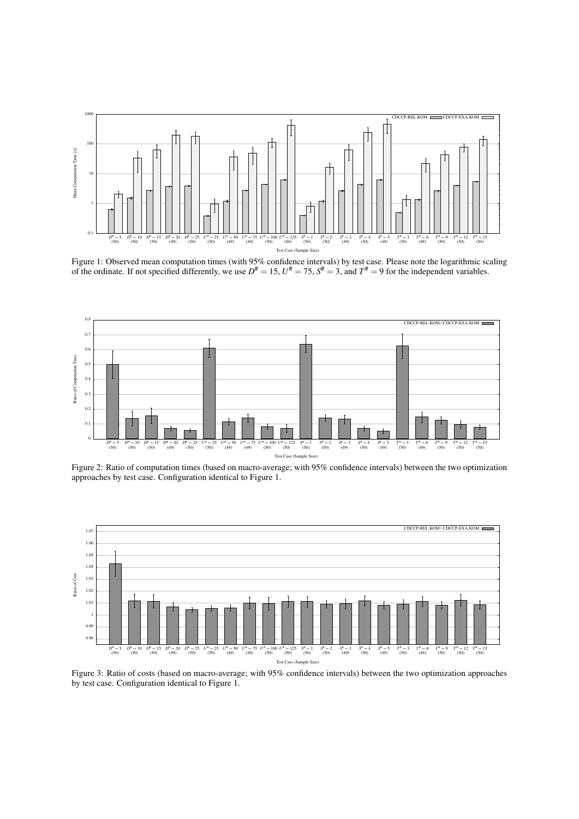

Figure 1: Observed mean computation times (with 95% confidence intervals) by test case. Please note the logarithmic scaling of the ordinate. If not specified differently, we use  $D^{\#} = 15$ ,  $U^{\#} = 75$ ,  $S^{\#} = 3$ , and  $T^{\#} = 9$  for the independent variables.



Figure 2: Ratio of computation times (based on macro-average; with 95% confidence intervals) between the two optimization approaches by test case. Configuration identical to Figure 1.



Figure 3: Ratio of costs (based on macro-average; with 95% confidence intervals) between the two optimization approaches by test case. Configuration identical to Figure 1.